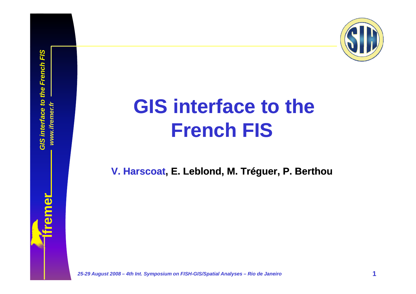

# **GIS interface to the French FIS**

**V. Harscoat, E. Leblond, M. Tréguer, P. Berthou**

*25-29 August 2008 – 4th Int. Symposium on FISH-GIS/Spatial Analyses – Rio de Janeiro* **1**

*rench FIS*

*e r. fr*

*m*

*ww*

**m**

**lf r e**

**e r**

*w. i fre*

*GIS interfa*

<u>ب</u>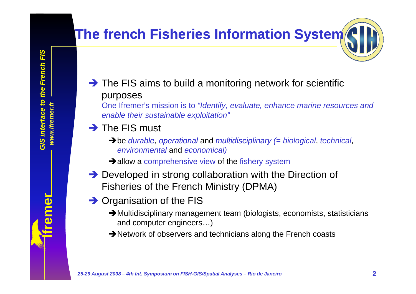# The french Fisheries Information System

**Ifremer** 

 $\rightarrow$  The FIS aims to build a monitoring network for scientific purposes

One Ifremer's mission is to "Identify, evaluate, enhance marine resources and enable their sustainable exploitation"

#### $\rightarrow$  The FIS must

 $\rightarrow$  be durable, operational and multidisciplinary (= biological, technical, environmental and economical)

- $\rightarrow$  allow a comprehensive view of the fishery system
- $\rightarrow$  Developed in strong collaboration with the Direction of **Fisheries of the French Ministry (DPMA)**
- $\rightarrow$  Organisation of the FIS
	- A Multidisciplinary management team (biologists, economists, statisticians and computer engineers...)
	- A Network of observers and technicians along the French coasts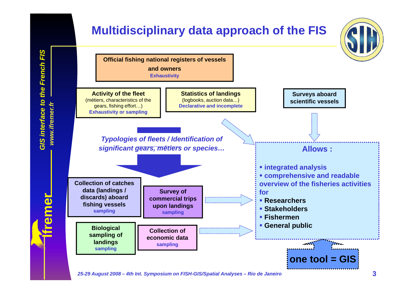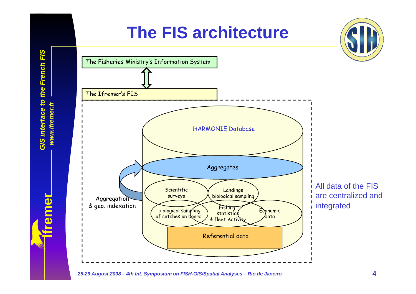

*<sup>25-29</sup> August 2008 – 4th Int. Symposium on FISH-GIS/Spatial Analyses – Rio de Janeiro*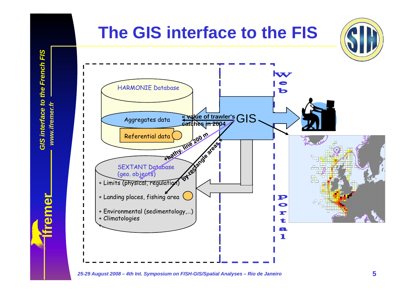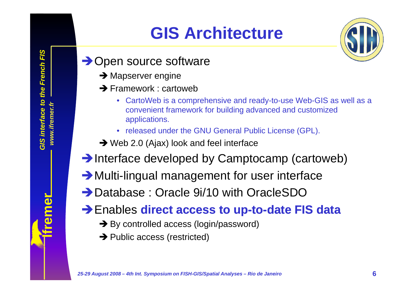# **GIS Architecture**



#### Open source software

 $\rightarrow$  Mapserver engine

**GIS interface to the French FIS** 

**NWW.ifremer.fr** 

**Temer** 

- $\rightarrow$  Framework : cartoweb
	- CartoWeb is a comprehensive and ready-to-use Web-GIS as well as a convenient framework for building advanced and customized applications.
	- released under the GNU General Public License (GPL).
- $\rightarrow$  Web 2.0 (Ajax) look and feel interface
- Interface developed by Camptocamp (cartoweb)
- $\rightarrow$  Multi-lingual management for user interface
- Database: Oracle 9i/10 with OracleSDO
- Enables direct access to up-to-date FIS data
	- → By controlled access (login/password)
	- $\rightarrow$  Public access (restricted)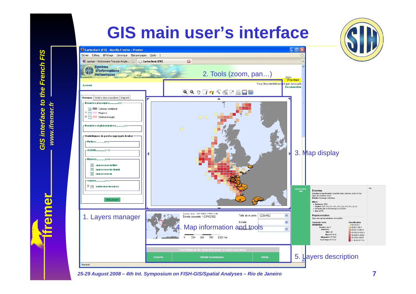### **GIS main user's interface**



*25-29 August 2008 – 4th Int. Symposium on FISH-GIS/Spatial Analyses – Rio de Janeiro*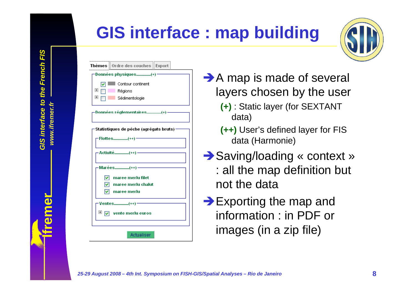### **GIS interface : map building**

| GIS interface to the French<br>$\overline{\mathbf{a}}$<br>www.ifr | Thèmes   Ordre des couches   Export<br>-Données physiques(+)<br>Contour continent<br>$\pm$<br>Régions<br>$\pm$<br>Sédimentologie<br>-Données réglementaires(+)<br>·Statistiques de pêche (agrégats bruts) ·<br><b>←Flottes</b> (++)<br>← Activité………….(++)<br>— Marées………….(++)<br>maree merlu filet<br>maree merlu chalut<br>maree merlu<br>(++)(++) | $\rightarrow$ A map is made of several<br>layers chosen by the user<br>(+): Static layer (for SEXTANT<br>data)<br>(++) User's defined layer for FIS<br>data (Harmonie)<br>Saving/loading « context<br>: all the map definition but<br>not the data |
|-------------------------------------------------------------------|-------------------------------------------------------------------------------------------------------------------------------------------------------------------------------------------------------------------------------------------------------------------------------------------------------------------------------------------------------|----------------------------------------------------------------------------------------------------------------------------------------------------------------------------------------------------------------------------------------------------|
| <b>enne</b>                                                       | 凷<br>vente merlu euros<br>罓<br>Actualiser                                                                                                                                                                                                                                                                                                             | $\rightarrow$ Exporting the map and<br>information : in PDF or<br>images (in a zip file)                                                                                                                                                           |

- $\rightarrow$  A map is made of several layers chosen by the user
	- **(+)** : Static layer (for SEXTANT
	-
- → Saving/loading « context » : all the map definition but not the data
- $\rightarrow$  Exporting the map and information : in PDF or images (in a zip file)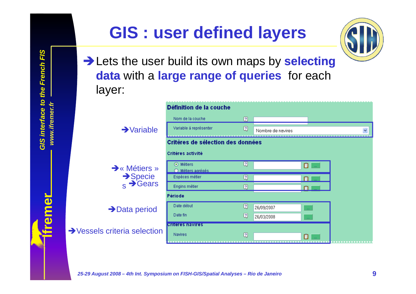### **GIS: user defined layers**



> Lets the user build its own maps by selecting data with a large range of queries for each layer:

|                            | Définition de la couche                 |   |                   |              |              |  |
|----------------------------|-----------------------------------------|---|-------------------|--------------|--------------|--|
|                            | Nom de la couche                        | Q |                   |              |              |  |
| $\rightarrow$ Variable     | Variable à représenter                  | Q | Nombre de navires |              | $\checkmark$ |  |
|                            | Critères de sélection des données       |   |                   |              |              |  |
|                            | Critères activité                       |   |                   |              |              |  |
| → « Métiers »              | Métiers<br>$\odot$<br>O Métiers agrégés | Q |                   | o            |              |  |
| $\rightarrow$ Specie       | Espèces métier                          | Q |                   | $\mathbf{C}$ |              |  |
| $s \rightarrow$ Gears      | Engins métier                           | 回 |                   | m            |              |  |
|                            | Période                                 |   |                   |              |              |  |
| $\rightarrow$ Data period  | Date début                              | Q | 26/09/2007        | $\sim$       |              |  |
|                            | Date fin                                | Q | 26/03/2008        | $\sim 100$   |              |  |
| Vessels criteria selection | <b>Criteres navires</b>                 |   |                   |              |              |  |
|                            | <b>Navires</b>                          | 回 |                   |              |              |  |

**GIS interface to the French FIS** 

www.ifremer.fr

<u>iremer</u>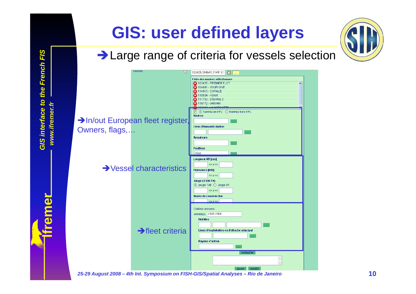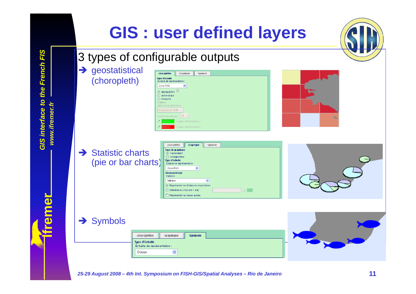

25-29 August 2008 - 4th Int. Symposium on FISH-GIS/Spatial Analyses - Rio de Janeiro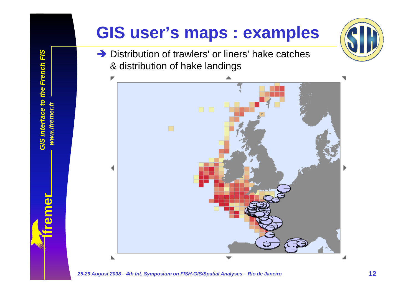

*rench FIS*

*ce to the Fr*

**GIS interface to the French FIS** 

www.ifremer.fr

*www.ifreme GIS interfac*

**ame**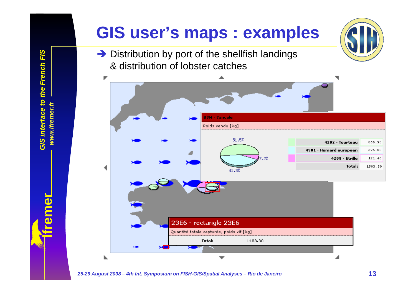

*rench FIS*

*ce to the Fr*

GIS interface to the French FIS

*GIS interfac*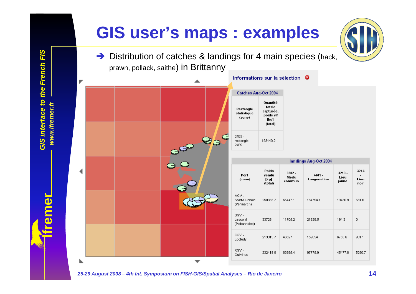# **GIS user's maps : examples**

*rench FIS*

*ce to the Fr*

GIS interface to the French FIS

www.ifremer.fr

*www.ifreme GIS interfac*

**mer lfrem**



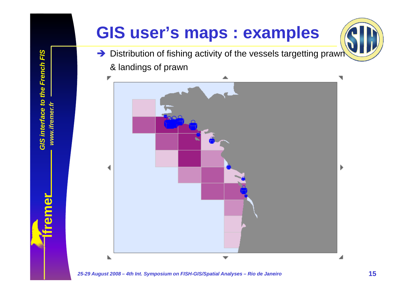

*25-29 August 2008 – 4th Int. Symposium on FISH-GIS/Spatial Analyses – Rio de Janeiro* **15**

*rench FIS*

*ce to the Fr*

GIS interface to the French FIS

*GIS interfac*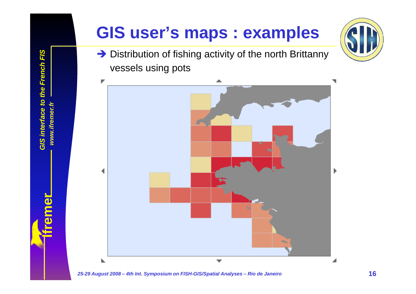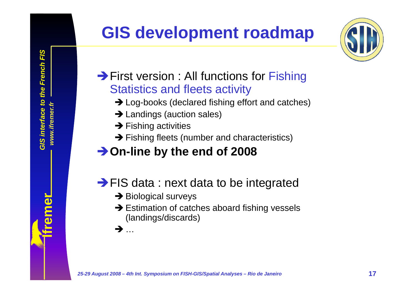# **GIS development roadmap**



→ First version : All functions for Fishing **Statistics and fleets activity** 

- > Log-books (declared fishing effort and catches)
- $\rightarrow$  Landings (auction sales)
- $\rightarrow$  Fishing activities
- $\rightarrow$  Fishing fleets (number and characteristics)

### $\rightarrow$  On-line by the end of 2008

- $\rightarrow$  FIS data : next data to be integrated
	- $\rightarrow$  Biological surveys
	- $\rightarrow$  Estimation of catches aboard fishing vessels (landings/discards)
	- $\rightarrow$

**GIS interface to the French FIS** 

**NWW.ifremer.fr** 

**fremer**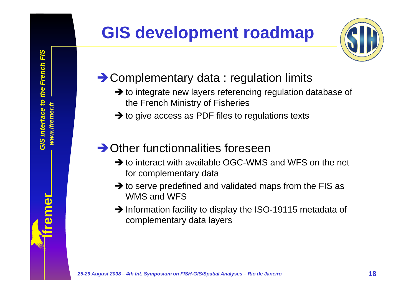# **GIS development roadmap**



### $\rightarrow$  Complementary data : regulation limits

- $\rightarrow$  to integrate new layers referencing regulation database of the French Ministry of Fisheries
- $\rightarrow$  to give access as PDF files to regulations texts

#### $\rightarrow$  Other functionnalities foreseen

*rench FIS*

*ce to the Fr*

**GIS** interface to the French FIS

**www.ifremer.fr** 

*www.ifreme GIS interfac*

**mer**

- $\rightarrow$  to interact with available OGC-WMS and WFS on the net for complementary data
- $\rightarrow$  to serve predefined and validated maps from the FIS as WMS and WFS
- **E**<br>
information facility to display the ISO-19115 metadata of<br>
complementary data layers<br>
→